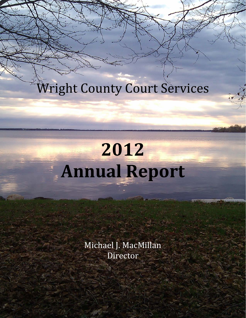Wright County Court Services

# **2012 Annual Report**

Michael J. MacMillan Director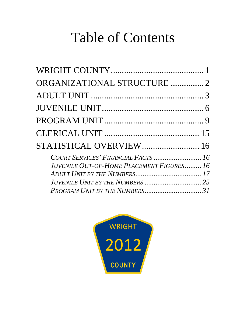## Table of Contents

| ORGANIZATIONAL STRUCTURE 2                                                             |  |
|----------------------------------------------------------------------------------------|--|
|                                                                                        |  |
|                                                                                        |  |
|                                                                                        |  |
|                                                                                        |  |
| STATISTICAL OVERVIEW 16                                                                |  |
| COURT SERVICES' FINANCIAL FACTS  16<br><b>JUVENILE OUT-OF-HOME PLACEMENT FIGURES16</b> |  |
|                                                                                        |  |

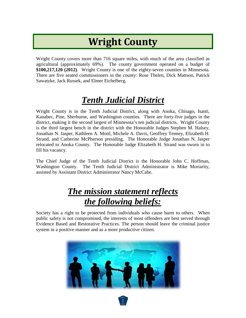## **Wright County**

<span id="page-2-0"></span>Wright County covers more than 716 square miles, with much of the area classified as agricultural (approximately 69%). The county government operated on a budget of **\$100,217,120 (2012)**. Wright County is one of the eighty-seven counties in Minnesota. There are five seated commissioners in the county: Rose Thelen, Dick Mattson, Patrick Sawatzke, Jack Russek, and Elmer Eichelberg.

### *Tenth Judicial District*

Wright County is in the Tenth Judicial District, along with Anoka, Chisago, Isanti, Kanabec, Pine, Sherburne, and Washington counties. There are forty-five judges in the district, making it the second largest of Minnesota's ten judicial districts. Wright County is the third largest bench in the district with the Honorable Judges Stephen M. Halsey, Jonathan N. Jasper, Kathleen A. Mottl, Michele A. Davis, Geoffrey Tenney, Elizabeth H. Strand, and Catherine McPherson presiding. The Honorable Judge Jonathan N. Jasper relocated to Anoka County. The Honorable Judge Elizabeth H. Strand was sworn in to fill his vacancy.

The Chief Judge of the Tenth Judicial District is the Honorable John C. Hoffman, Washington County. The Tenth Judicial District Administrator is Mike Moriarity, assisted by Assistant District Administrator Nancy McCabe.

#### *The mission statement reflects the following beliefs:*

Society has a right to be protected from individuals who cause harm to others. When public safety is not compromised, the interests of most offenders are best served through Evidence Based and Restorative Practices. The person should leave the criminal justice system in a positive manner and as a more productive citizen.

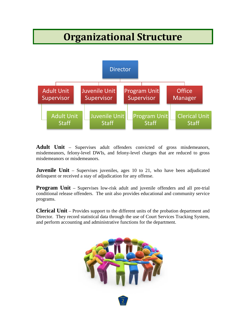### **Organizational Structure**

<span id="page-3-0"></span>

**Adult Unit** – Supervises adult offenders convicted of gross misdemeanors, misdemeanors, felony-level DWIs, and felony-level charges that are reduced to gross misdemeanors or misdemeanors.

**Juvenile Unit** – Supervises juveniles, ages 10 to 21, who have been adjudicated delinquent or received a stay of adjudication for any offense.

**Program Unit** – Supervises low-risk adult and juvenile offenders and all pre-trial conditional release offenders. The unit also provides educational and community service programs.

**Clerical Unit** – Provides support to the different units of the probation department and Director. They record statistical data through the use of Court Services Tracking System, and perform accounting and administrative functions for the department.

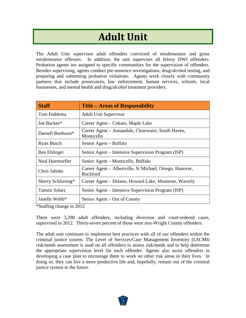### **Adult Unit**

<span id="page-4-0"></span>The Adult Unit supervises adult offenders convicted of misdemeanor and gross misdemeanor offenses. In addition, the unit supervises all felony DWI offenders. Probation agents are assigned to specific communities for the supervision of offenders. Besides supervising, agents conduct pre-sentence investigations, drug/alcohol testing, and preparing and submitting probation violations. Agents work closely with community partners that include prosecutors, law enforcement, human services, schools, local businesses, and mental health and drug/alcohol treatment providers.

| <b>Staff</b>              | <b>Title – Areas of Responsibility</b>                               |
|---------------------------|----------------------------------------------------------------------|
| Tom Feddema               | <b>Adult Unit Supervisor</b>                                         |
| Joe Backes*               | Career Agent – Cokato, Maple Lake                                    |
| Darnell Brethorst*        | Career Agent – Annandale, Clearwater, South Haven,<br>Monticello     |
| Ryan Busch                | Senior Agent – Buffalo                                               |
| Ben Ehlinger              | Senior Agent – Intensive Supervision Program (ISP)                   |
| Neal Huemoeller           | Senior Agent – Monticello, Buffalo                                   |
| Chris Jahnke              | Career Agent - Albertville, St Michael, Otsego, Hanover,<br>Rockford |
| Sherry Schliesing*        | Career Agent – Delano, Howard Lake, Montrose, Waverly                |
| Tammi Solarz              | Senior Agent – Intensive Supervision Program (ISP)                   |
| Janelle Webb <sup>*</sup> | Senior Agent – Out of County                                         |

\*Staffing change in 2012

There were 3,290 adult offenders, including diversion and court-ordered cases, supervised in 2012. Thirty-seven percent of those were non-Wright County offenders.

The adult unit continues to implement best practices with all of our offenders within the criminal justice system. The Level of Services/Case Management Inventory (LSCMI) risk/needs assessment is used on all offenders to assess risk/needs and to help determine the appropriate supervision level for each offender. Agents also assist offenders in developing a case plan to encourage them to work on other risk areas in their lives. In doing so, they can live a more productive life and, hopefully, remain out of the criminal justice system in the future.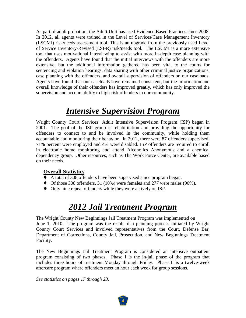As part of adult probation, the Adult Unit has used Evidence Based Practices since 2008. In 2012, all agents were trained in the Level of Services/Case Management Inventory (LSCMI) risk/needs assessment tool. This is an upgrade from the previously used Level of Service Inventory-Revised (LSI-R) risk/needs tool. The LSCMI is a more extensive tool that uses motivational interviewing to assist with more in-depth case planning with the offenders. Agents have found that the initial interviews with the offenders are more extensive, but the additional information gathered has been vital to the courts for sentencing and violation hearings, data sharing with other criminal justice organizations, case planning with the offenders, and overall supervision of offenders on our caseloads. Agents have found that our caseloads have remained consistent, but the information and overall knowledge of their offenders has improved greatly, which has only improved the supervision and accountability to high-risk offenders in our community.

#### *Intensive Supervision Program*

Wright County Court Services' Adult Intensive Supervision Program (ISP) began in 2001. The goal of the ISP group is rehabilitation and providing the opportunity for offenders to connect to and be involved in the community, while holding them accountable and monitoring their behavior. In 2012, there were 87 offenders supervised; 71% percent were employed and 4% were disabled. ISP offenders are required to enroll in electronic home monitoring and attend Alcoholics Anonymous and a chemical dependency group. Other resources, such as The Work Force Center, are available based on their needs.

#### **Overall Statistics**

- A total of 308 offenders have been supervised since program began.
- Of those 308 offenders, 31 (10%) were females and 277 were males (90%).
- Only nine repeat offenders while they were actively on ISP.

#### *2012 Jail Treatment Program*

The Wright County New Beginnings Jail Treatment Program was implemented on June 1, 2010. The program was the result of a planning process initiated by Wright County Court Services and involved representatives from the Court, Defense Bar, Department of Corrections, County Jail, Prosecution, and New Beginnings Treatment Facility.

The New Beginnings Jail Treatment Program is considered an intensive outpatient program consisting of two phases. Phase I is the in-jail phase of the program that includes three hours of treatment Monday through Friday. Phase II is a twelve-week aftercare program where offenders meet an hour each week for group sessions.

*See statistics on pages 17 through 23.*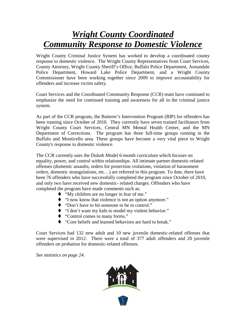#### *Wright County Coordinated Community Response to Domestic Violence*

Wright County Criminal Justice System has worked to develop a coordinated county response to domestic violence. The Wright County Representatives from Court Services, County Attorney, Wright County Sheriff's Office, Buffalo Police Department, Annandale Police Department, Howard Lake Police Department, and a Wright County Commissioner have been working together since 2009 to improve accountability for offenders and increase victim safety.

Court Services and the Coordinated Community Response (CCR) team have continued to emphasize the need for continued training and awareness for all in the criminal justice system.

As part of the CCR program, the Batterer's Intervention Program (BIP) for offenders has been running since October of 2010. They currently have seven trained facilitators from Wright County Court Services, Central MN Mental Health Center, and the MN Department of Corrections. The program has three full-time groups running in the Buffalo and Monticello area. These groups have become a very vital piece to Wright County's response to domestic violence.

The CCR currently uses the Duluth Model 6-month curriculum which focuses on equality, power, and control within relationships. All intimate partner domestic-related offenses (domestic assaults, orders for protection violations, violation of harassment orders, domestic strangulations, etc…) are referred to this program. To date, there have been 76 offenders who have successfully completed the program since October of 2010, and only two have received new domestic- related charges. Offenders who have completed the program have made comments such as:

- "My children are no longer in fear of me."
- "I now know that violence is not an option anymore."
- ◆ "Don't have to hit someone to be in control."
- "I don't want my kids to model my violent behavior."
- ◆ "Control comes in many forms."
- "Core beliefs and learned behaviors are hard to break."

Court Services had 132 new adult and 10 new juvenile domestic-related offenses that were supervised in 2012. There were a total of 377 adult offenders and 20 juvenile offenders on probation for domestic-related offenses.

*See statistics on page 24.*

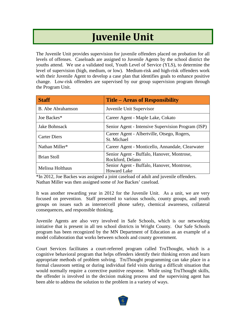### **Juvenile Unit**

<span id="page-7-0"></span>The Juvenile Unit provides supervision for juvenile offenders placed on probation for all levels of offenses. Caseloads are assigned to Juvenile Agents by the school district the youths attend. We use a validated tool, Youth Level of Service (YLS), to determine the level of supervision (high, medium, or low). Medium-risk and high-risk offenders work with their Juvenile Agent to develop a case plan that identifies goals to enhance positive change. Low-risk offenders are supervised by our group supervision program through the Program Unit.

| <b>Staff</b>             | <b>Title – Areas of Responsibility</b>                           |
|--------------------------|------------------------------------------------------------------|
| <b>B.</b> Abe Abrahamson | Juvenile Unit Supervisor                                         |
| Joe Backes*              | Career Agent - Maple Lake, Cokato                                |
| Jake Bohnsack            | Senior Agent - Intensive Supervision Program (ISP)               |
| <b>Carter Diers</b>      | Career Agent - Albertville, Otsego, Rogers,<br>St. Michael       |
| Nathan Miller*           | Career Agent - Monticello, Annandale, Clearwater                 |
| <b>Brian Stoll</b>       | Senior Agent - Buffalo, Hanover, Montrose,<br>Rockford, Delano   |
| Melissa Holthaus         | Senior Agent - Buffalo, Hanover, Montrose,<br><b>Howard Lake</b> |

\*In 2012, Joe Backes was assigned a joint caseload of adult and juvenile offenders. Nathan Miller was then assigned some of Joe Backes' caseload.

It was another rewarding year in 2012 for the Juvenile Unit. As a unit, we are very focused on prevention. Staff presented to various schools, county groups, and youth groups on issues such as internet/cell phone safety, chemical awareness, collateral consequences, and responsible thinking.

Juvenile Agents are also very involved in Safe Schools, which is our networking initiative that is present in all ten school districts in Wright County. Our Safe Schools program has been recognized by the MN Department of Education as an example of a model collaboration that works between schools and county government.

Court Services facilitates a court-referred program called TruThought, which is a cognitive behavioral program that helps offenders identify their thinking errors and learn appropriate methods of problem solving. TruThought programming can take place in a formal classroom setting or during individual field visits during a difficult situation that would normally require a corrective punitive response. While using TruThought skills, the offender is involved in the decision making process and the supervising agent has been able to address the solution to the problem in a variety of ways.

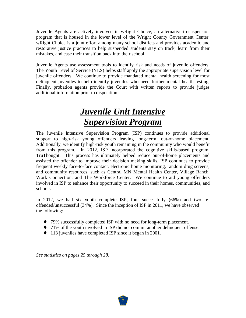Juvenile Agents are actively involved in wRight Choice, an alternative-to-suspension program that is housed in the lower level of the Wright County Government Center. wRight Choice is a joint effort among many school districts and provides academic and restorative justice practices to help suspended students stay on track, learn from their mistakes, and ease their transition back into their school.

Juvenile Agents use assessment tools to identify risk and needs of juvenile offenders. The Youth Level of Service (YLS) helps staff apply the appropriate supervision level for juvenile offenders. We continue to provide mandated mental health screening for most delinquent juveniles to help identify juveniles who need further mental health testing. Finally, probation agents provide the Court with written reports to provide judges additional information prior to disposition.

### *Juvenile Unit Intensive Supervision Program*

The Juvenile Intensive Supervision Program (ISP) continues to provide additional support to high-risk young offenders leaving long-term, out-of-home placement. Additionally, we identify high-risk youth remaining in the community who would benefit from this program. In 2012, ISP incorporated the cognitive skills-based program, TruThought. This process has ultimately helped reduce out-of-home placements and assisted the offender to improve their decision making skills. ISP continues to provide frequent weekly face-to-face contact, electronic home monitoring, random drug screens, and community resources, such as Central MN Mental Health Center, Village Ranch, Work Connection, and The Workforce Center. We continue to aid young offenders involved in ISP to enhance their opportunity to succeed in their homes, communities, and schools.

In 2012, we had six youth complete ISP, four successfully (66%) and two reoffended/unsuccessful (34%). Since the inception of ISP in 2011, we have observed the following:

- ◆ 79% successfully completed ISP with no need for long-term placement.
- 71% of the youth involved in ISP did not commit another delinquent offense.
- ◆ 113 juveniles have completed ISP since it began in 2001.

*See statistics on pages 25 through 28.*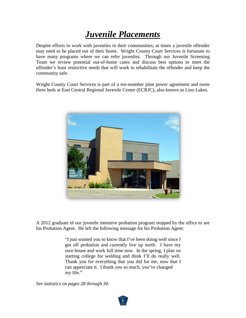#### *Juvenile Placements*

Despite efforts to work with juveniles in their communities, at times a juvenile offender may need to be placed out of their home. Wright County Court Services is fortunate to have many programs where we can refer juveniles. Through our Juvenile Screening Team we review potential out-of-home cases and discuss best options to meet the offender's least restrictive needs that will work to rehabilitate the offender and keep the community safe.

Wright County Court Services is part of a ten-member joint power agreement and owns three beds at East Central Regional Juvenile Center (ECRJC), also known as Lino Lakes.



A 2012 graduate of our juvenile intensive probation program stopped by the office to see his Probation Agent. He left the following message for his Probation Agent:

> "I just wanted you to know that I've been doing well since I got off probation and currently live up north. I have my own house and work full time now. In the spring, I plan on starting college for welding and think I'll do really well. Thank you for everything that you did for me, now that I can appreciate it. I thank you so much, you've changed my life."

*See statistics on pages 28 through 30.*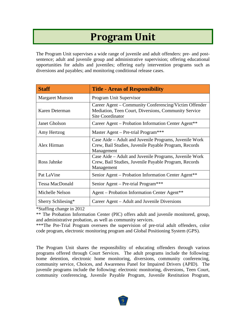### **Program Unit**

<span id="page-10-0"></span>The Program Unit supervises a wide range of juvenile and adult offenders: pre- and postsentence; adult and juvenile group and administrative supervision; offering educational opportunities for adults and juveniles; offering early intervention programs such as diversions and payables; and monitoring conditional release cases.

| <b>Staff</b>           | <b>Title - Areas of Responsibility</b>                                                                                                   |
|------------------------|------------------------------------------------------------------------------------------------------------------------------------------|
| <b>Margaret Munson</b> | Program Unit Supervisor                                                                                                                  |
| Karen Determan         | Career Agent – Community Conferencing/Victim Offender<br>Mediation, Teen Court, Diversions, Community Service<br><b>Site Coordinator</b> |
| <b>Janet Gholson</b>   | Career Agent – Probation Information Center Agent**                                                                                      |
| Amy Hertzog            | Master Agent – Pre-trial Program***                                                                                                      |
| Alex Hirman            | Case Aide – Adult and Juvenile Programs, Juvenile Work<br>Crew, Bail Studies, Juvenile Payable Program, Records<br>Management            |
| Ross Jahnke            | Case Aide - Adult and Juvenile Programs, Juvenile Work<br>Crew, Bail Studies, Juvenile Payable Program, Records<br>Management            |
| Pat LaVine             | Senior Agent – Probation Information Center Agent**                                                                                      |
| <b>Tessa MacDonald</b> | Senior Agent – Pre-trial Program***                                                                                                      |
| Michelle Nelson        | Agent - Probation Information Center Agent**                                                                                             |
| Sherry Schliesing*     | Career Agent – Adult and Juvenile Diversions                                                                                             |

\*Staffing change in 2012

\*\* The Probation Information Center (PIC) offers adult and juvenile monitored, group, and administrative probation, as well as community services.

\*\*\*The Pre-Trial Program oversees the supervision of pre-trial adult offenders, color code program, electronic monitoring program and Global Positioning System (GPS).

The Program Unit shares the responsibility of educating offenders through various programs offered through Court Services. The adult programs include the following: home detention, electronic home monitoring, diversions, community conferencing, community service, Choices, and Awareness Panel for Impaired Drivers (APID). The juvenile programs include the following: electronic monitoring, diversions, Teen Court, community conferencing, Juvenile Payable Program, Juvenile Restitution Program,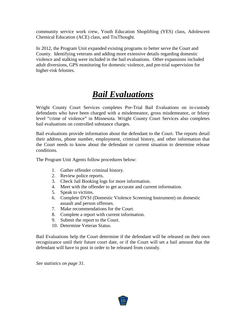community service work crew, Youth Education Shoplifting (YES) class, Adolescent Chemical Education (ACE) class, and TruThought.

In 2012, the Program Unit expanded existing programs to better serve the Court and County. Identifying veterans and adding more extensive details regarding domestic violence and stalking were included in the bail evaluations. Other expansions included adult diversions, GPS monitoring for domestic violence, and pre-trial supervision for higher-risk felonies.

#### *Bail Evaluations*

Wright County Court Services completes Pre-Trial Bail Evaluations on in-custody defendants who have been charged with a misdemeanor, gross misdemeanor, or felony level "crime of violence" in Minnesota. Wright County Court Services also completes bail evaluations on controlled substance charges.

Bail evaluations provide information about the defendant to the Court. The reports detail their address, phone number, employment, criminal history, and other information that the Court needs to know about the defendant or current situation to determine release conditions.

The Program Unit Agents follow procedures below:

- 1. Gather offender criminal history.
- 2. Review police reports.
- 3. Check Jail Booking logs for more information.
- 4. Meet with the offender to get accurate and current information.
- 5. Speak to victims.
- 6. Complete DVSI (Domestic Violence Screening Instrument) on domestic assault and person offenses.
- 7. Make recommendations for the Court.
- 8. Complete a report with current information.
- 9. Submit the report to the Court.
- 10. Determine Veteran Status.

Bail Evaluations help the Court determine if the defendant will be released on their own recognizance until their future court date, or if the Court will set a bail amount that the defendant will have to post in order to be released from custody.

*See statistics on page 31.*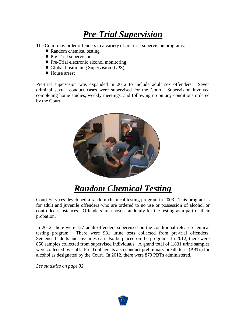#### *Pre-Trial Supervision*

The Court may order offenders to a variety of pre-trial supervision programs:

- ◆ Random chemical testing
- $\blacklozenge$  Pre-Trial supervision
- ◆ Pre-Trial electronic alcohol monitoring
- ◆ Global Positioning Supervision (GPS)
- ◆ House arrest

Pre-trial supervision was expanded in 2012 to include adult sex offenders. Seven criminal sexual conduct cases were supervised for the Court. Supervision involved completing home studies, weekly meetings, and following up on any conditions ordered by the Court.



#### *Random Chemical Testing*

Court Services developed a random chemical testing program in 2003. This program is for adult and juvenile offenders who are ordered to no use or possession of alcohol or controlled substances. Offenders are chosen randomly for the testing as a part of their probation.

In 2012, there were 127 adult offenders supervised on the conditional release chemical testing program. There were 981 urine tests collected from pre-trial offenders. Sentenced adults and juveniles can also be placed on the program. In 2012, there were 850 samples collected from supervised individuals. A grand total of 1,831 urine samples were collected by staff. Pre-Trial agents also conduct preliminary breath tests (PBTs) for alcohol as designated by the Court. In 2012, there were 879 PBTs administered.

*See statistics on page 32.*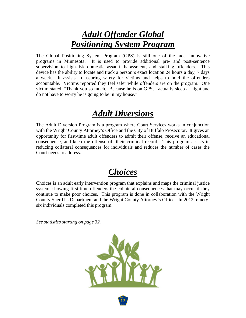#### *Adult Offender Global Positioning System Program*

The Global Positioning System Program (GPS) is still one of the most innovative programs in Minnesota. It is used to provide additional pre- and post-sentence supervision to high-risk domestic assault, harassment, and stalking offenders. This device has the ability to locate and track a person's exact location 24 hours a day, 7 days a week. It assists in assuring safety for victims and helps to hold the offenders accountable. Victims reported they feel safer while offenders are on the program. One victim stated, "Thank you so much. Because he is on GPS, I actually sleep at night and do not have to worry he is going to be in my house."

#### *Adult Diversions*

The Adult Diversion Program is a program where Court Services works in conjunction with the Wright County Attorney's Office and the City of Buffalo Prosecutor. It gives an opportunity for first-time adult offenders to admit their offense, receive an educational consequence, and keep the offense off their criminal record. This program assists in reducing collateral consequences for individuals and reduces the number of cases the Court needs to address.

#### *Choices*

Choices is an adult early intervention program that explains and maps the criminal justice system, showing first-time offenders the collateral consequences that may occur if they continue to make poor choices. This program is done in collaboration with the Wright County Sheriff's Department and the Wright County Attorney's Office. In 2012, ninetysix individuals completed this program.

*See statistics starting on page 32.*



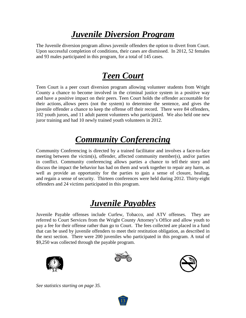#### *Juvenile Diversion Program*

The Juvenile diversion program allows juvenile offenders the option to divert from Court. Upon successful completion of conditions, their cases are dismissed. In 2012, 52 females and 93 males participated in this program, for a total of 145 cases.

#### *Teen Court*

Teen Court is a peer court diversion program allowing volunteer students from Wright County a chance to become involved in the criminal justice system in a positive way and have a positive impact on their peers. Teen Court holds the offender accountable for their actions, allows peers (not the system) to determine the sentence, and gives the juvenile offender a chance to keep the offense off their record. There were 84 offenders, 102 youth jurors, and 11 adult parent volunteers who participated. We also held one new juror training and had 10 newly trained youth volunteers in 2012.

### *Community Conferencing*

Community Conferencing is directed by a trained facilitator and involves a face-to-face meeting between the victim(s), offender, affected community member(s), and/or parties in conflict. Community conferencing allows parties a chance to tell their story and discuss the impact the behavior has had on them and work together to repair any harm, as well as provide an opportunity for the parties to gain a sense of closure, healing, and regain a sense of security. Thirteen conferences were held during 2012. Thirty-eight offenders and 24 victims participated in this program.

### *Juvenile Payables*

Juvenile Payable offenses include Curfew, Tobacco, and ATV offenses. They are referred to Court Services from the Wright County Attorney's Office and allow youth to pay a fee for their offense rather than go to Court. The fees collected are placed in a fund that can be used by juvenile offenders to meet their restitution obligation, as described in the next section. There were 200 juveniles who participated in this program. A total of \$9,250 was collected through the payable program.





13



*See statistics starting on page 35.*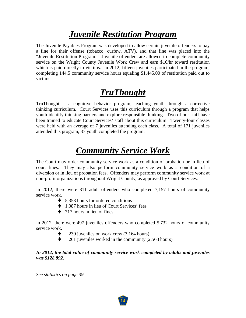#### *Juvenile Restitution Program*

The Juvenile Payables Program was developed to allow certain juvenile offenders to pay a fine for their offense (tobacco, curfew, ATV), and that fine was placed into the "Juvenile Restitution Program." Juvenile offenders are allowed to complete community service on the Wright County Juvenile Work Crew and earn \$10/hr toward restitution which is paid directly to victims. In 2012, fifteen juveniles participated in the program, completing 144.5 community service hours equaling \$1,445.00 of restitution paid out to victims.

### *TruThought*

TruThought is a cognitive behavior program, teaching youth through a corrective thinking curriculum. Court Services uses this curriculum through a program that helps youth identify thinking barriers and explore responsible thinking. Two of our staff have been trained to educate Court Services' staff about this curriculum. Twenty-four classes were held with an average of 7 juveniles attending each class. A total of 171 juveniles attended this program, 37 youth completed the program.

#### *Community Service Work*

The Court may order community service work as a condition of probation or in lieu of court fines. They may also perform community service work as a condition of a diversion or in lieu of probation fees. Offenders may perform community service work at non-profit organizations throughout Wright County, as approved by Court Services.

In 2012, there were 311 adult offenders who completed 7,157 hours of community service work.

- $\blacklozenge$  5,353 hours for ordered conditions
- ◆ 1,087 hours in lieu of Court Services' fees
- $\triangle$  717 hours in lieu of fines

In 2012, there were 497 juveniles offenders who completed 5,732 hours of community service work.

- 230 juveniles on work crew (3,164 hours).
- $\bullet$  261 juveniles worked in the community (2,568 hours)

In 2012, the total value of community service work completed by adults and juveniles *was \$128,892.*

14

*See statistics on page 39.*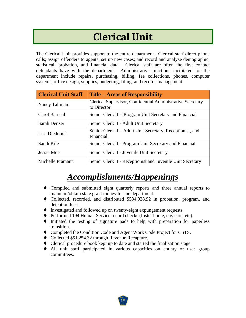### **Clerical Unit**

<span id="page-16-0"></span>The Clerical Unit provides support to the entire department. Clerical staff direct phone calls; assign offenders to agents; set up new cases; and record and analyze demographic, statistical, probation, and financial data. Clerical staff are often the first contact defendants have with the department. Administrative functions facilitated for the department include repairs, purchasing, billing, fee collections, phones, computer systems, office design, supplies, budgeting, filing, and records management.

| <b>Clerical Unit Staff</b> | <b>Title – Areas of Responsibility</b>                                    |
|----------------------------|---------------------------------------------------------------------------|
| Nancy Tallman              | Clerical Supervisor, Confidential Administrative Secretary<br>to Director |
| Carol Barnaal              | Senior Clerk II - Program Unit Secretary and Financial                    |
| Sarah Denzer               | Senior Clerk II - Adult Unit Secretary                                    |
| Lisa Diederich             | Senior Clerk II – Adult Unit Secretary, Receptionist, and<br>Financial    |
| Sandi Kile                 | Senior Clerk II - Program Unit Secretary and Financial                    |
| Jessie Moe                 | Senior Clerk II - Juvenile Unit Secretary                                 |
| Michelle Pramann           | Senior Clerk II - Receptionist and Juvenile Unit Secretary                |

#### *Accomplishments/Happenings*

- Compiled and submitted eight quarterly reports and three annual reports to maintain/obtain state grant money for the department.
- Collected, recorded, and distributed \$534,028.92 in probation, program, and detention fees.
- $\blacklozenge$  Investigated and followed up on twenty-eight expungement requests.
- ◆ Performed 194 Human Service record checks (foster home, day care, etc).
- $\blacklozenge$  Initiated the testing of signature pads to help with preparation for paperless transition.
- Completed the Condition Code and Agent Work Code Project for CSTS.
- ◆ Collected \$51,254.32 through Revenue Recapture.
- Clerical procedure book kept up to date and started the finalization stage.
- All unit staff participated in various capacities on county or user group committees.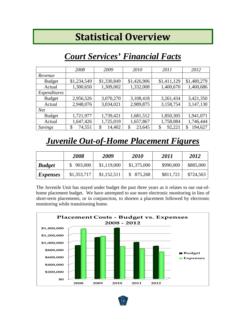### **Statistical Overview**

#### <span id="page-17-0"></span>*Court Services' Financial Facts*

<span id="page-17-1"></span>

|               | 2008         | 2009         | 2010         | 2011         | 2012          |
|---------------|--------------|--------------|--------------|--------------|---------------|
| Revenue       |              |              |              |              |               |
| <b>Budget</b> | \$1,234,549  | \$1,330,849  | \$1,426,906  | \$1,411,129  | \$1,480,279   |
| Actual        | 1,300,650    | 1,309,002    | 1,332,008    | 1,400,670    | 1,400,686     |
| Expenditures  |              |              |              |              |               |
| <b>Budget</b> | 2,956,526    | 3,070,270    | 3,108,418    | 3,261,434    | 3,421,350     |
| Actual        | 2,948,076    | 3,034,021    | 2,989,875    | 3,158,754    | 3,147,130     |
| <b>Net</b>    |              |              |              |              |               |
| <b>Budget</b> | 1,721,977    | 1,739,421    | 1,681,512    | 1,850,305    | 1,941,071     |
| Actual        | 1,647,426    | 1,725,019    | 1,657,867    | 1,758,084    | 1,746,444     |
| Savings       | 74,551<br>\$ | 14,402<br>\$ | 23,645<br>\$ | 92,221<br>\$ | 194,627<br>\$ |

#### <span id="page-17-2"></span>*Juvenile Out-of-Home Placement Figures*

|                 | 2008        | 2009        | <b>2010</b> | 2011      | 2012      |
|-----------------|-------------|-------------|-------------|-----------|-----------|
| <b>Budget</b>   | \$903,000   | \$1,119,000 | \$1,375,000 | \$990,000 | \$885,000 |
| <i>Expenses</i> | \$1,353,717 | \$1,152,511 | \$875,268   | \$811,721 | \$724,563 |

The Juvenile Unit has stayed under budget the past three years as it relates to our out-ofhome placement budget. We have attempted to use more electronic monitoring in lieu of short-term placements, or in conjunction, to shorten a placement followed by electronic monitoring while transitioning home.

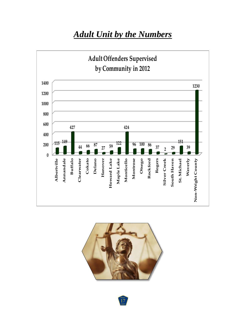#### *Adult Unit by the Numbers*

<span id="page-18-0"></span>



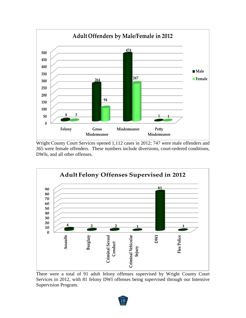

Wright County Court Services opened 1,112 cases in 2012; 747 were male offenders and were female offenders. These numbers include diversions, court-ordered conditions, DWIs, and all other offenses.



There were a total of 91 adult felony offenses supervised by Wright County Court Services in 2012, with 81 felony DWI offenses being supervised through our Intensive Supervision Program.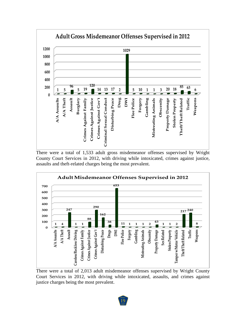

There were a total of 1,533 adult gross misdemeanor offenses supervised by Wright County Court Services in 2012, with driving while intoxicated, crimes against justice, assaults and theft-related charges being the most prevalent.



There were a total of 2,013 adult misdemeanor offenses supervised by Wright County Court Services in 2012, with driving while intoxicated, assaults, and crimes against justice charges being the most prevalent.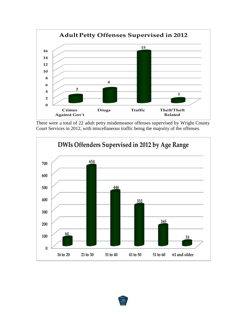

There were a total of 22 adult petty misdemeanor offenses supervised by Wright County Court Services in 2012, with miscellaneous traffic being the majority of the offenses.

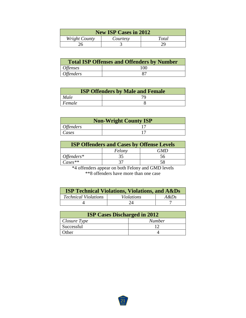| <b>New ISP Cases in 2012</b>       |  |  |  |  |
|------------------------------------|--|--|--|--|
| Wright County<br>Total<br>Courtesy |  |  |  |  |
| 26                                 |  |  |  |  |

| <b>Total ISP Offenses and Offenders by Number</b> |     |  |
|---------------------------------------------------|-----|--|
| <i>Offenses</i>                                   | 100 |  |
| <i>Offenders</i>                                  | 87  |  |

| <b>ISP Offenders by Male and Female</b> |  |  |
|-----------------------------------------|--|--|
| Male                                    |  |  |
| Female                                  |  |  |

| <b>Non-Wright County ISP</b> |  |  |
|------------------------------|--|--|
| <i><b>Offenders</b></i>      |  |  |
| Cases                        |  |  |

| <b>ISP Offenders and Cases by Offense Levels</b> |        |     |  |
|--------------------------------------------------|--------|-----|--|
|                                                  | Felony | GMD |  |
| Offenders $*$                                    |        | 56  |  |
| $\textit{Case}$ s**                              |        |     |  |

\*4 offenders appear on both Felony and GMD levels \*\*8 offenders have more than one case

| <b>ISP Technical Violations, Violations, and A&amp;Ds</b> |                   |         |  |  |  |  |  |
|-----------------------------------------------------------|-------------------|---------|--|--|--|--|--|
| <b>Technical Violations</b>                               | <i>Violations</i> | $A\&Ds$ |  |  |  |  |  |
|                                                           | 24                |         |  |  |  |  |  |

| <b>ISP Cases Discharged in 2012</b> |               |  |  |  |
|-------------------------------------|---------------|--|--|--|
| $\Box$ Closure Type                 | <b>Number</b> |  |  |  |
| Successful                          |               |  |  |  |
| Other                               |               |  |  |  |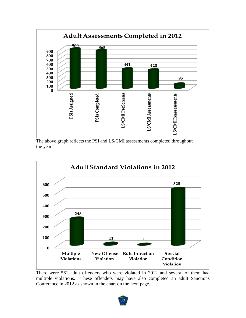

The above graph reflects the PSI and LS/CMI assessments completed throughout the year.



There were 561 adult offenders who were violated in 2012 and several of them had multiple violations. These offenders may have also completed an adult Sanctions Conference in 2012 as shown in the chart on the next page.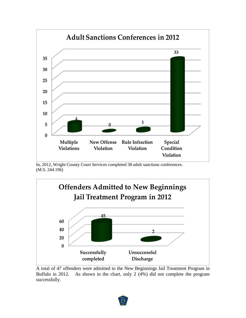

In, 2012, Wright County Court Services completed 38 adult sanctions conferences. (M.S. 244.196)



A total of 47 offenders were admitted to the New Beginnings Jail Treatment Program in Buffalo in 2012. As shown in the chart, only 2 (4%) did not complete the program successfully.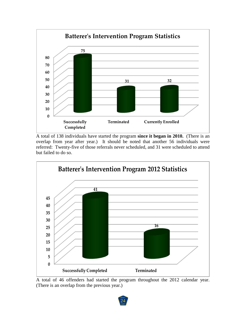

A total of 138 individuals have started the program **since it began in 2010.** (There is an overlap from year after year.) It should be noted that another 56 individuals were referred: Twenty-five of those referrals never scheduled, and 31 were scheduled to attend but failed to do so.



A total of 46 offenders had started the program throughout the 2012 calendar year. (There is an overlap from the previous year.)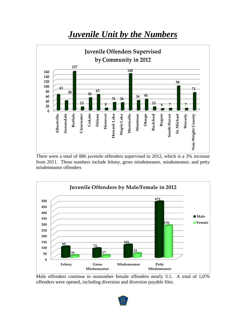#### <span id="page-26-0"></span>*Juvenile Unit by the Numbers* **Juvenile Offenders Supervised by Community in 2012 157 148 160 140 120 98 100 63 71 63 80 38 50 39 44 60 31 30 40 13**  $\frac{13}{6}$  **6 7 8 7 20 0 Buffalo Cokato Delano** Montrose **Otsego Albertville** Annandale Clearwater Hanover **Howard Lake** Maple Lake Monticello Rockford **Rogers Waverly** South Haven **Hanover** St. Michael **Annandale Clearwater Howard Lake Maple Lake Monticello Montrose Rockford South Haven St. Michael** Non-Wright County **Non-Wright County Albertville**

There were a total of 886 juvenile offenders supervised in 2012, which is a 3% increase from 2011. These numbers include felony, gross misdemeanor, misdemeanor, and petty misdemeanor offenders



Male offenders continue to outnumber female offenders nearly 3:1. A total of 1,076 offenders were opened, including diversion and diversion payable files.

25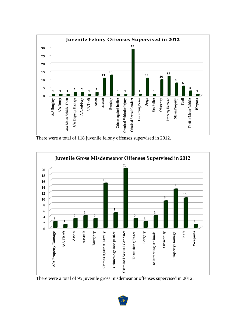

There were a total of 118 juvenile felony offenses supervised in 2012.



There were a total of 95 juvenile gross misdemeanor offenses supervised in 2012.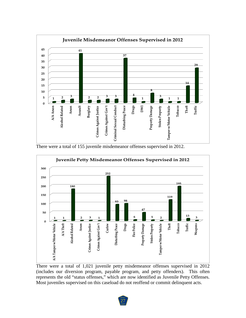

There were a total of 155 juvenile misdemeanor offenses supervised in 2012.



There were a total of 1,021 juvenile petty misdemeanor offenses supervised in 2012 (includes our diversion program, payable program, and petty offenders). This often represents the old "status offenses," which are now identified as Juvenile Petty Offenses. Most juveniles supervised on this caseload do not reoffend or commit delinquent acts.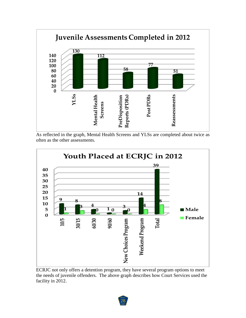

As reflected in the graph, Mental Health Screens and YLSs are completed about twice as often as the other assessments.



ECRJC not only offers a detention program, they have several program options to meet the needs of juvenile offenders. The above graph describes how Court Services used the facility in 2012.

28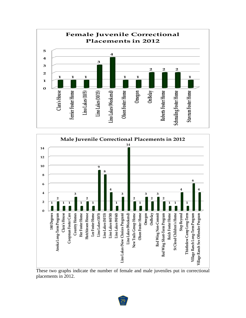



These two graphs indicate the number of female and male juveniles put in correctional placements in 2012.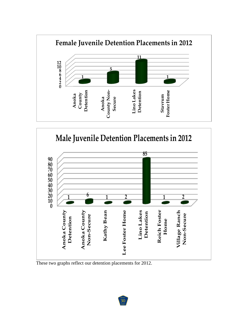



These two graphs reflect our detention placements for 2012.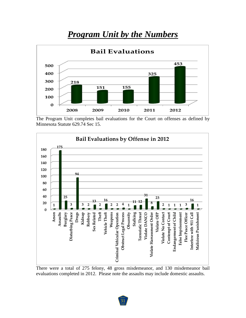#### *Program Unit by the Numbers*

<span id="page-32-0"></span>

The Program Unit completes bail evaluations for the Court on offenses as defined by Minnesota Statute 629.74 Sec 15.



There were a total of 275 felony, 48 gross misdemeanor, and 130 misdemeanor bail evaluations completed in 2012. Please note the assaults may include domestic assaults.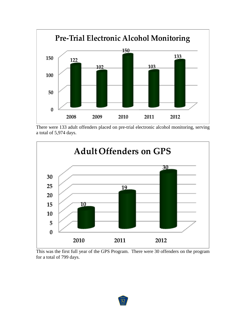

There were 133 adult offenders placed on pre-trial electronic alcohol monitoring, serving a total of 5,974 days.



This was the first full year of the GPS Program. There were 30 offenders on the program for a total of 799 days.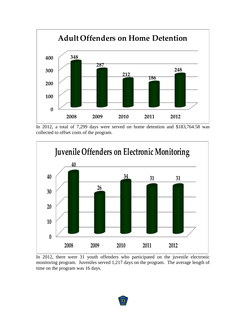

In 2012, a total of 7,299 days were served on home detention and \$183,764.58 was collected to offset costs of the program.



In 2012, there were 31 youth offenders who participated on the juvenile electronic monitoring program. Juveniles served 1,217 days on the program. The average length of time on the program was 16 days.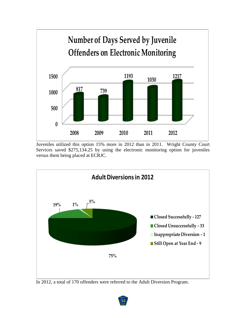

Juveniles utilized this option 15% more in 2012 than in 2011. Wright County Court Services saved \$275,134.25 by using the electronic monitoring option for juveniles versus them being placed at ECRJC.



In 2012, a total of 170 offenders were referred to the Adult Diversion Program.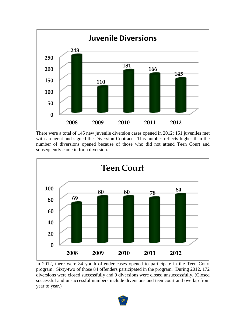

There were a total of 145 new juvenile diversion cases opened in 2012; 151 juveniles met with an agent and signed the Diversion Contract. This number reflects higher than the number of diversions opened because of those who did not attend Teen Court and subsequently came in for a diversion.



In 2012, there were 84 youth offender cases opened to participate in the Teen Court program. Sixty-two of those 84 offenders participated in the program. During 2012, 172 diversions were closed successfully and 9 diversions were closed unsuccessfully. (Closed successful and unsuccessful numbers include diversions and teen court and overlap from year to year.)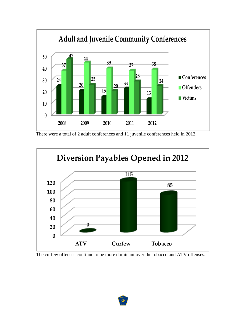

There were a total of 2 adult conferences and 11 juvenile conferences held in 2012.



The curfew offenses continue to be more dominant over the tobacco and ATV offenses.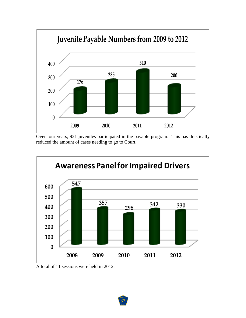

Over four years, 921 juveniles participated in the payable program. This has drastically reduced the amount of cases needing to go to Court.



A total of 11 sessions were held in 2012.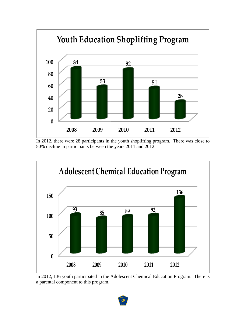

In 2012, there were 28 participants in the youth shoplifting program. There was close to 50% decline in participants between the years 2011 and 2012.



In 2012, 136 youth participated in the Adolescent Chemical Education Program. There is a parental component to this program.